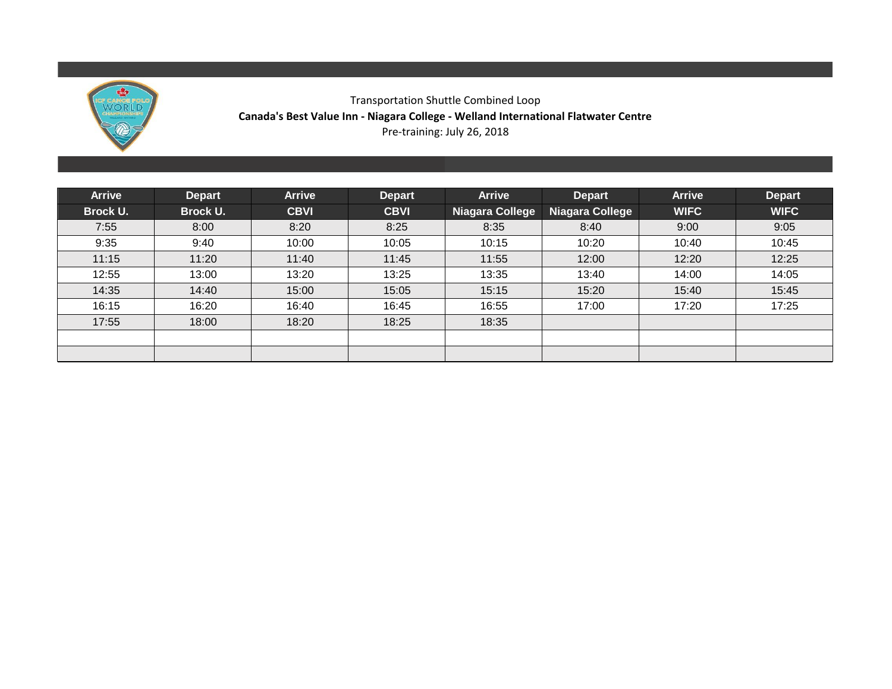

# Transportation Shuttle Combined Loop **Canada's Best Value Inn - Niagara College - Welland International Flatwater Centre** Pre-training: July 26, 2018

| <b>Arrive</b> | <b>Depart</b> | <b>Arrive</b> | <b>Depart</b> | <b>Arrive</b>          | Depart          | <b>Arrive</b> | <b>Depart</b> |
|---------------|---------------|---------------|---------------|------------------------|-----------------|---------------|---------------|
| Brock U.      | Brock U.      | <b>CBVI</b>   | <b>CBVI</b>   | <b>Niagara College</b> | Niagara College | <b>WIFC</b>   | <b>WIFC</b>   |
| 7:55          | 8:00          | 8:20          | 8:25          | 8:35                   | 8:40            | 9:00          | 9:05          |
| 9:35          | 9:40          | 10:00         | 10:05         | 10:15                  | 10:20           | 10:40         | 10:45         |
| 11:15         | 11:20         | 11:40         | 11:45         | 11:55                  | 12:00           | 12:20         | 12:25         |
| 12:55         | 13:00         | 13:20         | 13:25         | 13:35                  | 13:40           | 14:00         | 14:05         |
| 14:35         | 14:40         | 15:00         | 15:05         | 15:15                  | 15:20           | 15:40         | 15:45         |
| 16:15         | 16:20         | 16:40         | 16:45         | 16:55                  | 17:00           | 17:20         | 17:25         |
| 17:55         | 18:00         | 18:20         | 18:25         | 18:35                  |                 |               |               |
|               |               |               |               |                        |                 |               |               |
|               |               |               |               |                        |                 |               |               |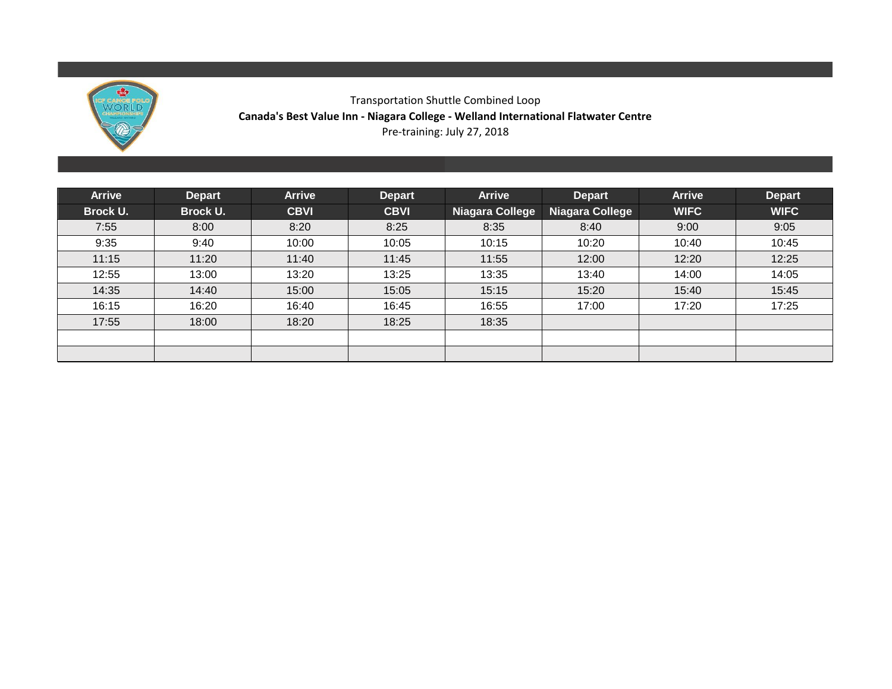

# Transportation Shuttle Combined Loop **Canada's Best Value Inn - Niagara College - Welland International Flatwater Centre** Pre-training: July 27, 2018

| <b>Arrive</b> | <b>Depart</b> | <b>Arrive</b> | <b>Depart</b> | <b>Arrive</b>          | <b>Depart</b>   | <b>Arrive</b> | <b>Depart</b> |
|---------------|---------------|---------------|---------------|------------------------|-----------------|---------------|---------------|
| Brock U.      | Brock U.      | <b>CBVI</b>   | <b>CBVI</b>   | <b>Niagara College</b> | Niagara College | <b>WIFC</b>   | <b>WIFC</b>   |
| 7:55          | 8:00          | 8:20          | 8:25          | 8:35                   | 8:40            | 9:00          | 9:05          |
| 9:35          | 9:40          | 10:00         | 10:05         | 10:15                  | 10:20           | 10:40         | 10:45         |
| 11:15         | 11:20         | 11:40         | 11:45         | 11:55                  | 12:00           | 12:20         | 12:25         |
| 12:55         | 13:00         | 13:20         | 13:25         | 13:35                  | 13:40           | 14:00         | 14:05         |
| 14:35         | 14:40         | 15:00         | 15:05         | 15:15                  | 15:20           | 15:40         | 15:45         |
| 16:15         | 16:20         | 16:40         | 16:45         | 16:55                  | 17:00           | 17:20         | 17:25         |
| 17:55         | 18:00         | 18:20         | 18:25         | 18:35                  |                 |               |               |
|               |               |               |               |                        |                 |               |               |
|               |               |               |               |                        |                 |               |               |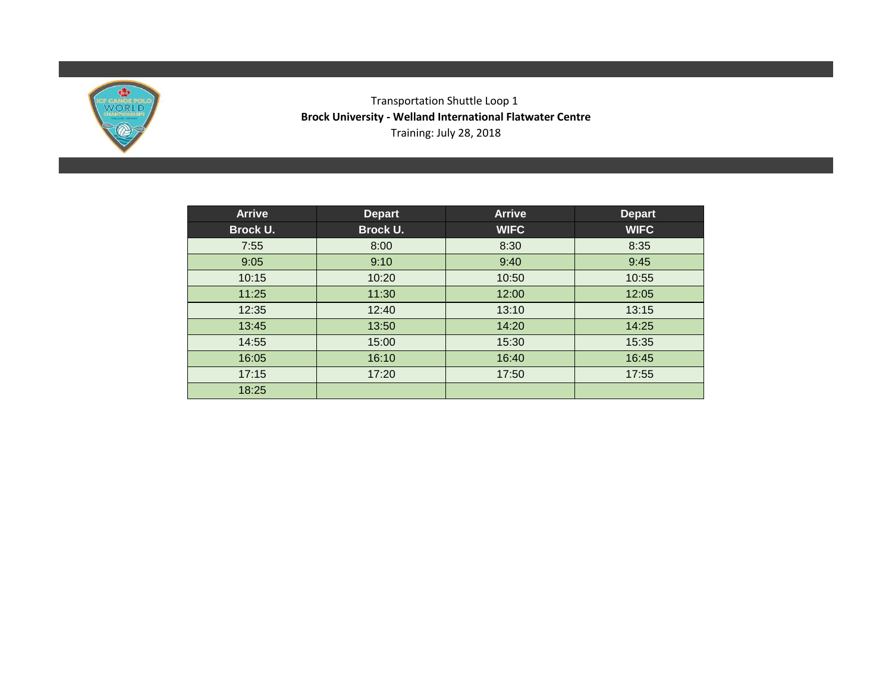

# Transportation Shuttle Loop 1 **Brock University - Welland International Flatwater Centre** Training: July 28, 2018

| <b>Arrive</b> | <b>Depart</b>   | <b>Arrive</b> | <b>Depart</b> |
|---------------|-----------------|---------------|---------------|
| Brock U.      | <b>Brock U.</b> | <b>WIFC</b>   | <b>WIFC</b>   |
| 7:55          | 8:00            | 8:30          | 8:35          |
| 9:05          | 9:10            | 9:40          | 9:45          |
| 10:15         | 10:20           | 10:50         | 10:55         |
| 11:25         | 11:30           | 12:00         | 12:05         |
| 12:35         | 12:40           | 13:10         | 13:15         |
| 13:45         | 13:50           | 14:20         | 14:25         |
| 14:55         | 15:00           | 15:30         | 15:35         |
| 16:05         | 16:10           | 16:40         | 16:45         |
| 17:15         | 17:20           | 17:50         | 17:55         |
| 18:25         |                 |               |               |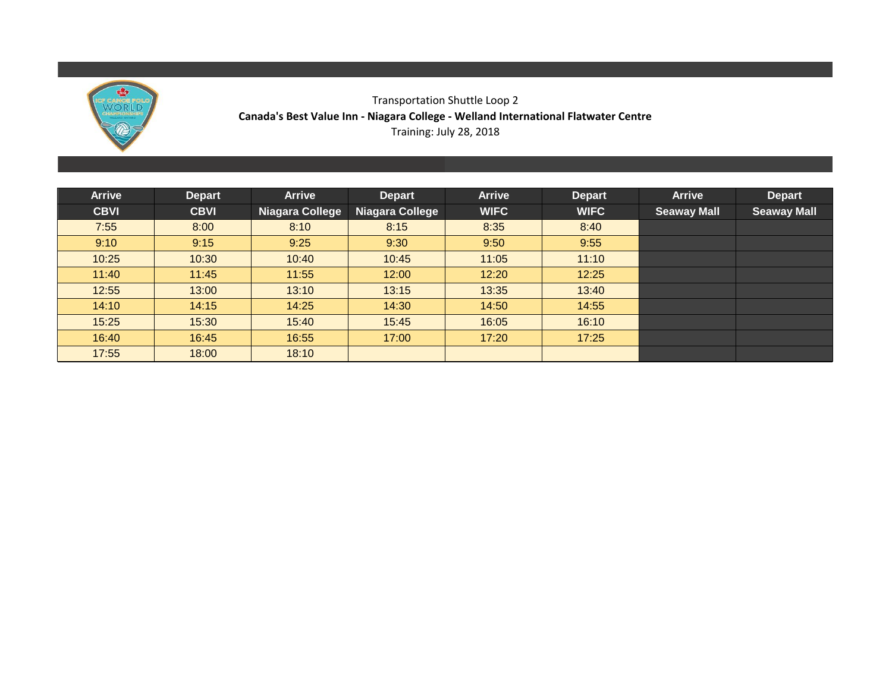

# Transportation Shuttle Loop 2 **Canada's Best Value Inn - Niagara College - Welland International Flatwater Centre** Training: July 28, 2018

| <b>Arrive</b> | <b>Depart</b> | <b>Arrive</b>   | Depart                 | <b>Arrive</b> | <b>Depart</b> | <b>Arrive</b>      | <b>Depart</b>      |
|---------------|---------------|-----------------|------------------------|---------------|---------------|--------------------|--------------------|
| <b>CBVI</b>   | <b>CBVI</b>   | Niagara College | <b>Niagara College</b> | <b>WIFC</b>   | <b>WIFC</b>   | <b>Seaway Mall</b> | <b>Seaway Mall</b> |
| 7:55          | 8:00          | 8:10            | 8:15                   | 8:35          | 8:40          |                    |                    |
| 9:10          | 9:15          | 9:25            | 9:30                   | 9:50          | 9:55          |                    |                    |
| 10:25         | 10:30         | 10:40           | 10:45                  | 11:05         | 11:10         |                    |                    |
| 11:40         | 11:45         | 11:55           | 12:00                  | 12:20         | 12:25         |                    |                    |
| 12:55         | 13:00         | 13:10           | 13:15                  | 13:35         | 13:40         |                    |                    |
| 14:10         | 14:15         | 14:25           | 14:30                  | 14:50         | 14:55         |                    |                    |
| 15:25         | 15:30         | 15:40           | 15:45                  | 16:05         | 16:10         |                    |                    |
| 16:40         | 16:45         | 16:55           | 17:00                  | 17:20         | 17:25         |                    |                    |
| 17:55         | 18:00         | 18:10           |                        |               |               |                    |                    |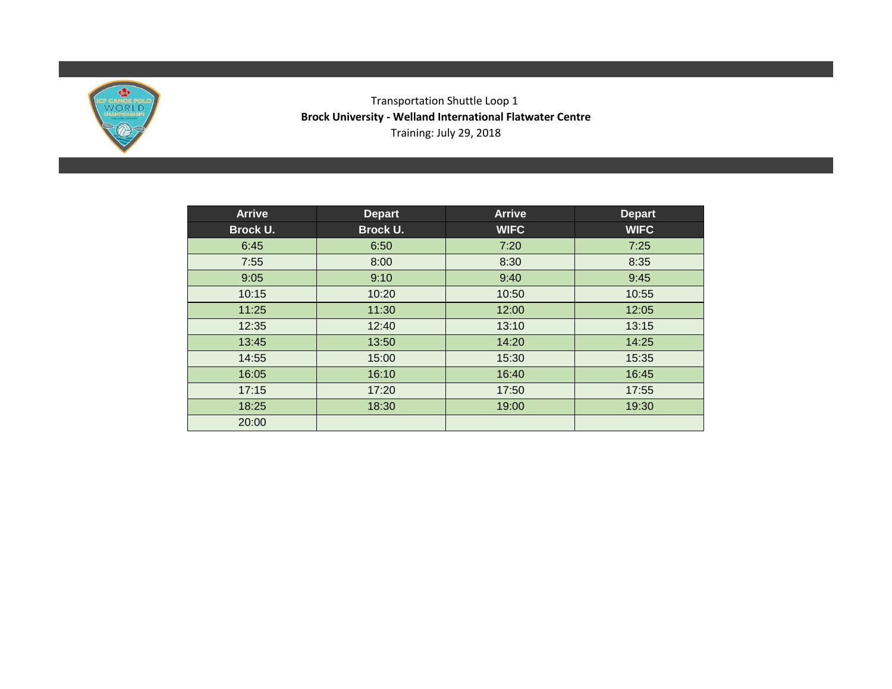

# Transportation Shuttle Loop 1 **Brock University - Welland International Flatwater Centre** Training: July 29, 2018

| <b>Arrive</b> | <b>Depart</b> | <b>Arrive</b> | <b>Depart</b> |
|---------------|---------------|---------------|---------------|
| Brock U.      | Brock U.      | <b>WIFC</b>   | <b>WIFC</b>   |
| 6:45          | 6:50          | 7:20          | 7:25          |
| 7:55          | 8:00          | 8:30          | 8:35          |
| 9:05          | 9:10          | 9:40          | 9:45          |
| 10:15         | 10:20         | 10:50         | 10:55         |
| 11:25         | 11:30         | 12:00         | 12:05         |
| 12:35         | 12:40         | 13:10         | 13:15         |
| 13:45         | 13:50         | 14:20         | 14:25         |
| 14:55         | 15:00         | 15:30         | 15:35         |
| 16:05         | 16:10         | 16:40         | 16:45         |
| 17:15         | 17:20         | 17:50         | 17:55         |
| 18:25         | 18:30         | 19:00         | 19:30         |
| 20:00         |               |               |               |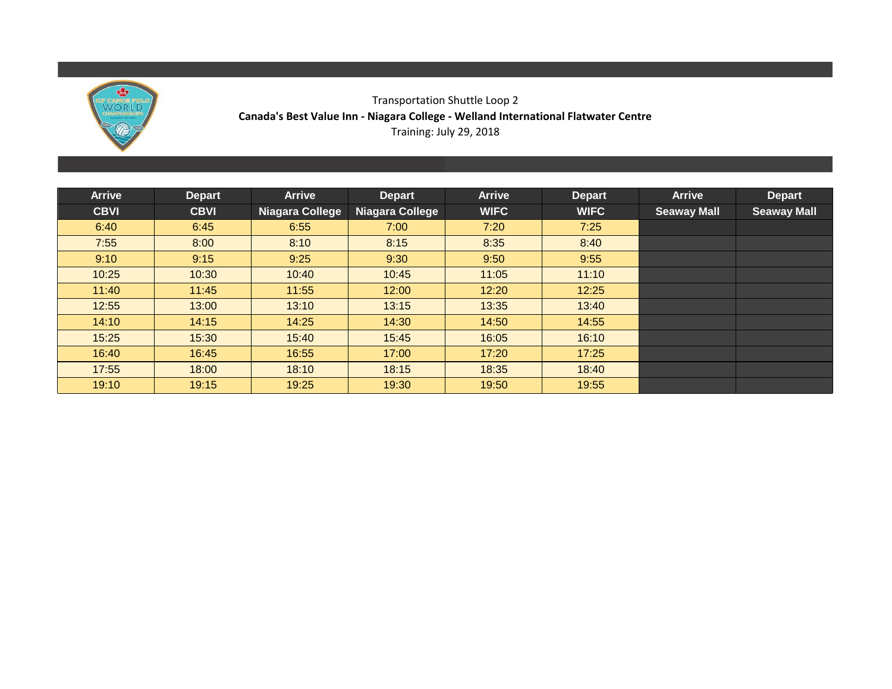

# Transportation Shuttle Loop 2 **Canada's Best Value Inn - Niagara College - Welland International Flatwater Centre** Training: July 29, 2018

| <b>Arrive</b> | <b>Depart</b> | <b>Arrive</b>   | <b>Depart</b>          | <b>Arrive</b> | <b>Depart</b> | <b>Arrive</b>      | <b>Depart</b>      |
|---------------|---------------|-----------------|------------------------|---------------|---------------|--------------------|--------------------|
| <b>CBVI</b>   | <b>CBVI</b>   | Niagara College | <b>Niagara College</b> | <b>WIFC</b>   | <b>WIFC</b>   | <b>Seaway Mall</b> | <b>Seaway Mall</b> |
| 6:40          | 6:45          | 6:55            | 7:00                   | 7:20          | 7:25          |                    |                    |
| 7:55          | 8:00          | 8:10            | 8:15                   | 8:35          | 8:40          |                    |                    |
| 9:10          | 9:15          | 9:25            | 9:30                   | 9:50          | 9:55          |                    |                    |
| 10:25         | 10:30         | 10:40           | 10:45                  | 11:05         | 11:10         |                    |                    |
| 11:40         | 11:45         | 11:55           | 12:00                  | 12:20         | 12:25         |                    |                    |
| 12:55         | 13:00         | 13:10           | 13:15                  | 13:35         | 13:40         |                    |                    |
| 14:10         | 14:15         | 14:25           | 14:30                  | 14:50         | 14:55         |                    |                    |
| 15:25         | 15:30         | 15:40           | 15:45                  | 16:05         | 16:10         |                    |                    |
| 16:40         | 16:45         | 16:55           | 17:00                  | 17:20         | 17:25         |                    |                    |
| 17:55         | 18:00         | 18:10           | 18:15                  | 18:35         | 18:40         |                    |                    |
| 19:10         | 19:15         | 19:25           | 19:30                  | 19:50         | 19:55         |                    |                    |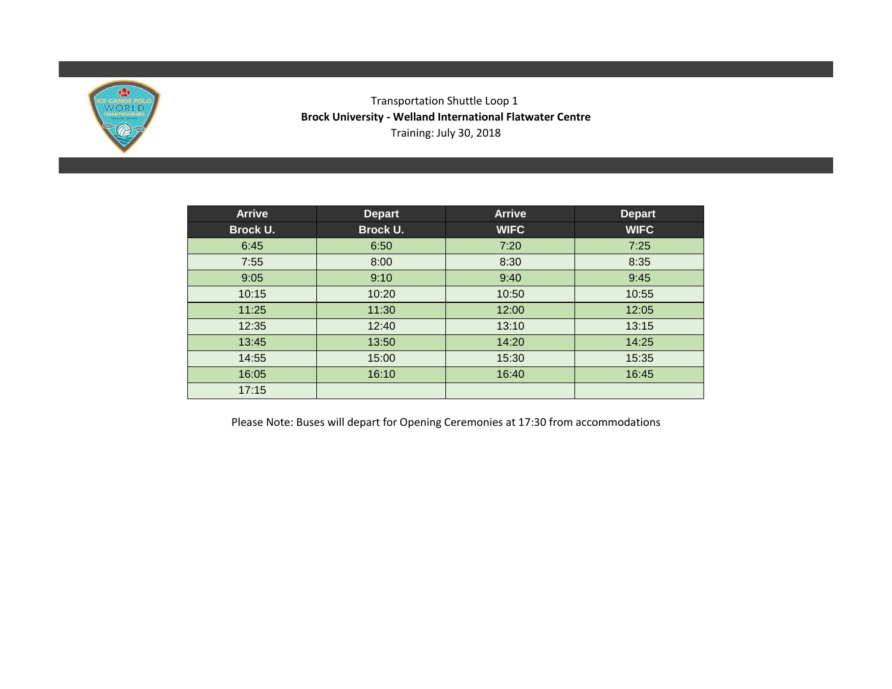

# Transportation Shuttle Loop 1 **Brock University - Welland International Flatwater Centre** Training: July 30, 2018

| <b>Arrive</b>   | <b>Depart</b> | <b>Arrive</b> | <b>Depart</b> |
|-----------------|---------------|---------------|---------------|
| <b>Brock U.</b> | Brock U.      | <b>WIFC</b>   | <b>WIFC</b>   |
| 6:45            | 6:50          | 7:20          | 7:25          |
| 7:55            | 8:00          | 8:30          | 8:35          |
| 9:05            | 9:10          | 9:40          | 9:45          |
| 10:15           | 10:20         | 10:50         | 10:55         |
| 11:25           | 11:30         | 12:00         | 12:05         |
| 12:35           | 12:40         | 13:10         | 13:15         |
| 13:45           | 13:50         | 14:20         | 14:25         |
| 14:55           | 15:00         | 15:30         | 15:35         |
| 16:05           | 16:10         | 16:40         | 16:45         |
| 17:15           |               |               |               |

Please Note: Buses will depart for Opening Ceremonies at 17:30 from accommodations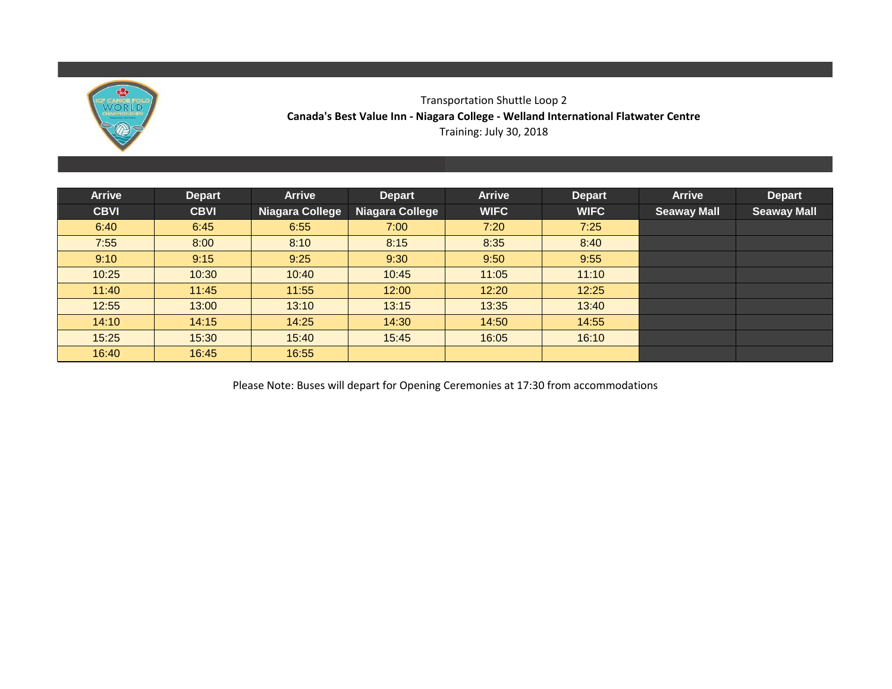

### Transportation Shuttle Loop 2 **Canada's Best Value Inn - Niagara College - Welland International Flatwater Centre** Training: July 30, 2018

| <b>Arrive</b> | <b>Depart</b> | <b>Arrive</b>          | <b>Depart</b>          | <b>Arrive</b> | <b>Depart</b> | <b>Arrive</b>      | <b>Depart</b>      |
|---------------|---------------|------------------------|------------------------|---------------|---------------|--------------------|--------------------|
| <b>CBVI</b>   | <b>CBVI</b>   | <b>Niagara College</b> | <b>Niagara College</b> | <b>WIFC</b>   | <b>WIFC</b>   | <b>Seaway Mall</b> | <b>Seaway Mall</b> |
| 6:40          | 6:45          | 6:55                   | 7:00                   | 7:20          | 7:25          |                    |                    |
| 7:55          | 8:00          | 8:10                   | 8:15                   | 8:35          | 8:40          |                    |                    |
| 9:10          | 9:15          | 9:25                   | 9:30                   | 9:50          | 9:55          |                    |                    |
| 10:25         | 10:30         | 10:40                  | 10:45                  | 11:05         | 11:10         |                    |                    |
| 11:40         | 11:45         | 11:55                  | 12:00                  | 12:20         | 12:25         |                    |                    |
| 12:55         | 13:00         | 13:10                  | 13:15                  | 13:35         | 13:40         |                    |                    |
| 14:10         | 14:15         | 14:25                  | 14:30                  | 14:50         | 14:55         |                    |                    |
| 15:25         | 15:30         | 15:40                  | 15:45                  | 16:05         | 16:10         |                    |                    |
| 16:40         | 16:45         | 16:55                  |                        |               |               |                    |                    |

Please Note: Buses will depart for Opening Ceremonies at 17:30 from accommodations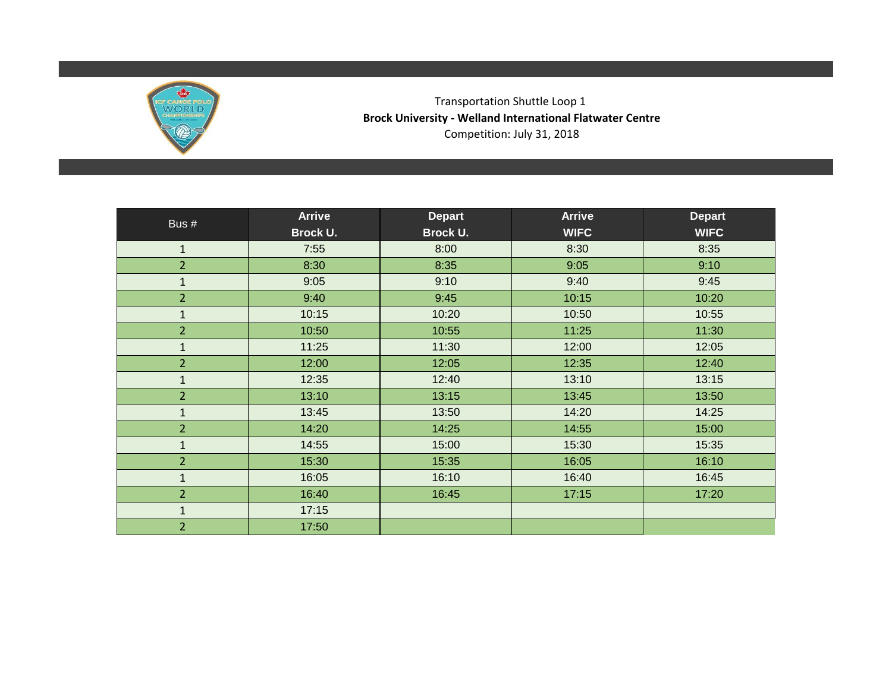

Transportation Shuttle Loop 1 **Brock University - Welland International Flatwater Centre** Competition: July 31, 2018

| Bus #          | <b>Arrive</b> | <b>Depart</b>   | <b>Arrive</b> | <b>Depart</b> |
|----------------|---------------|-----------------|---------------|---------------|
|                | Brock U.      | <b>Brock U.</b> | <b>WIFC</b>   | <b>WIFC</b>   |
| $\mathbf{1}$   | 7:55          | 8:00            | 8:30          | 8:35          |
| $\overline{2}$ | 8:30          | 8:35            | 9:05          | 9:10          |
| $\mathbf 1$    | 9:05          | 9:10            | 9:40          | 9:45          |
| $\overline{2}$ | 9:40          | 9:45            | 10:15         | 10:20         |
| $\mathbf{1}$   | 10:15         | 10:20           | 10:50         | 10:55         |
| $\overline{2}$ | 10:50         | 10:55           | 11:25         | 11:30         |
| $\mathbf 1$    | 11:25         | 11:30           | 12:00         | 12:05         |
| $\overline{2}$ | 12:00         | 12:05           | 12:35         | 12:40         |
| $\mathbf 1$    | 12:35         | 12:40           | 13:10         | 13:15         |
| $\overline{2}$ | 13:10         | 13:15           | 13:45         | 13:50         |
| $\mathbf 1$    | 13:45         | 13:50           | 14:20         | 14:25         |
| $\overline{2}$ | 14:20         | 14:25           | 14:55         | 15:00         |
| $\mathbf 1$    | 14:55         | 15:00           | 15:30         | 15:35         |
| $\overline{2}$ | 15:30         | 15:35           | 16:05         | 16:10         |
| $\mathbf{1}$   | 16:05         | 16:10           | 16:40         | 16:45         |
| $\overline{2}$ | 16:40         | 16:45           | 17:15         | 17:20         |
| $\mathbf{1}$   | 17:15         |                 |               |               |
| $\overline{2}$ | 17:50         |                 |               |               |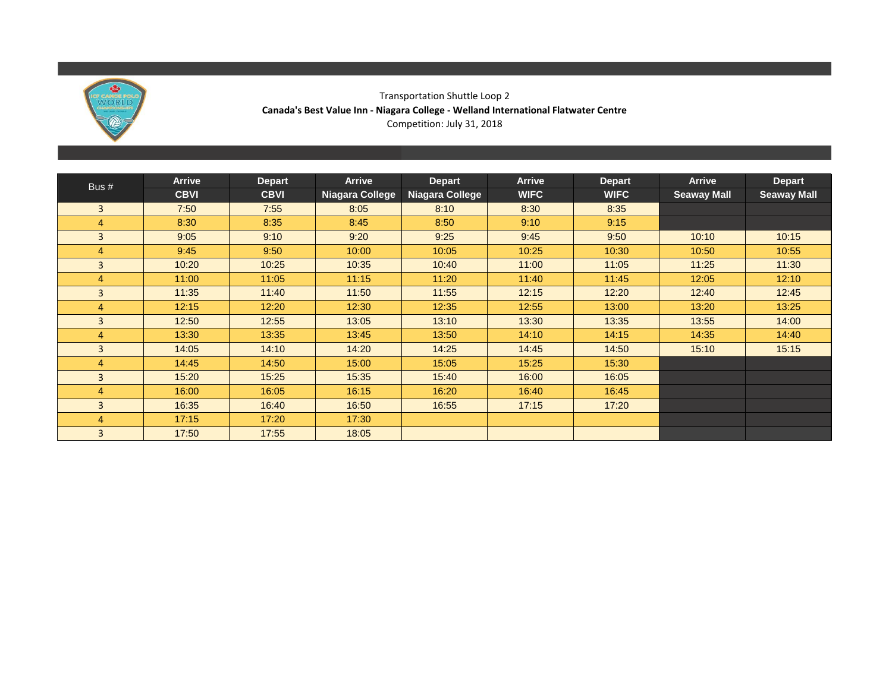

### Transportation Shuttle Loop 2 **Canada's Best Value Inn - Niagara College - Welland International Flatwater Centre** Competition: July 31, 2018

|                | <b>Arrive</b> | <b>Depart</b> | Arrive          | <b>Depart</b>   | <b>Arrive</b> | <b>Depart</b> | <b>Arrive</b>      | <b>Depart</b>      |
|----------------|---------------|---------------|-----------------|-----------------|---------------|---------------|--------------------|--------------------|
| Bus $#$        | <b>CBVI</b>   | <b>CBVI</b>   | Niagara College | Niagara College | <b>WIFC</b>   | <b>WIFC</b>   | <b>Seaway Mall</b> | <b>Seaway Mall</b> |
| 3              | 7:50          | 7:55          | 8:05            | 8:10            | 8:30          | 8:35          |                    |                    |
| 4              | 8:30          | 8:35          | 8:45            | 8:50            | 9:10          | 9:15          |                    |                    |
| 3              | 9:05          | 9:10          | 9:20            | 9:25            | 9:45          | 9:50          | 10:10              | 10:15              |
| 4              | 9:45          | 9:50          | 10:00           | 10:05           | 10:25         | 10:30         | 10:50              | 10:55              |
| $\overline{3}$ | 10:20         | 10:25         | 10:35           | 10:40           | 11:00         | 11:05         | 11:25              | 11:30              |
| 4              | 11:00         | 11:05         | 11:15           | 11:20           | 11:40         | 11:45         | 12:05              | 12:10              |
| 3              | 11:35         | 11:40         | 11:50           | 11:55           | 12:15         | 12:20         | 12:40              | 12:45              |
| 4              | 12:15         | 12:20         | 12:30           | 12:35           | 12:55         | 13:00         | 13:20              | 13:25              |
| 3              | 12:50         | 12:55         | 13:05           | 13:10           | 13:30         | 13:35         | 13:55              | 14:00              |
| 4              | 13:30         | 13:35         | 13:45           | 13:50           | 14:10         | 14:15         | 14:35              | 14:40              |
| 3              | 14:05         | 14:10         | 14:20           | 14:25           | 14:45         | 14:50         | 15:10              | 15:15              |
| 4              | 14:45         | 14:50         | 15:00           | 15:05           | 15:25         | 15:30         |                    |                    |
| 3              | 15:20         | 15:25         | 15:35           | 15:40           | 16:00         | 16:05         |                    |                    |
| 4              | 16:00         | 16:05         | 16:15           | 16:20           | 16:40         | 16:45         |                    |                    |
| 3              | 16:35         | 16:40         | 16:50           | 16:55           | 17:15         | 17:20         |                    |                    |
| 4              | 17:15         | 17:20         | 17:30           |                 |               |               |                    |                    |
| 3              | 17:50         | 17:55         | 18:05           |                 |               |               |                    |                    |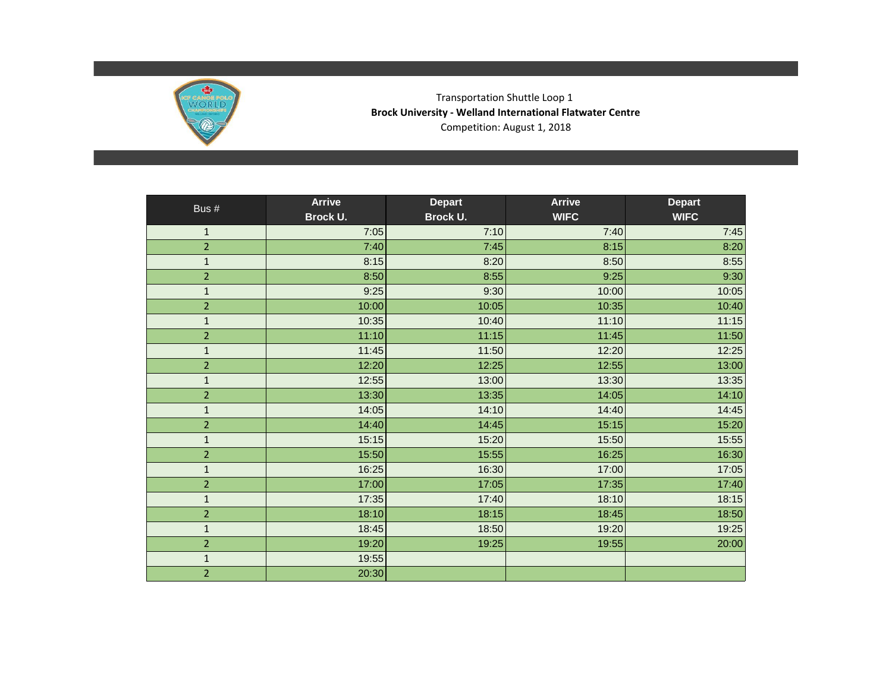

Transportation Shuttle Loop 1 **Brock University - Welland International Flatwater Centre** Competition: August 1, 2018

| Bus #          | <b>Arrive</b> | <b>Depart</b> | <b>Arrive</b> | <b>Depart</b> |
|----------------|---------------|---------------|---------------|---------------|
|                | Brock U.      | Brock U.      | <b>WIFC</b>   | <b>WIFC</b>   |
| $\mathbf 1$    | 7:05          | 7:10          | 7:40          | 7:45          |
| $\overline{2}$ | 7:40          | 7:45          | 8:15          | 8:20          |
| $\mathbf{1}$   | 8:15          | 8:20          | 8:50          | 8:55          |
| $\overline{2}$ | 8:50          | 8:55          | 9:25          | 9:30          |
| $\mathbf 1$    | 9:25          | 9:30          | 10:00         | 10:05         |
| $\overline{2}$ | 10:00         | 10:05         | 10:35         | 10:40         |
| $\mathbf{1}$   | 10:35         | 10:40         | 11:10         | 11:15         |
| $\overline{2}$ | 11:10         | 11:15         | 11:45         | 11:50         |
| $\mathbf{1}$   | 11:45         | 11:50         | 12:20         | 12:25         |
| $\overline{2}$ | 12:20         | 12:25         | 12:55         | 13:00         |
| $\mathbf{1}$   | 12:55         | 13:00         | 13:30         | 13:35         |
| $\overline{2}$ | 13:30         | 13:35         | 14:05         | 14:10         |
| $\mathbf{1}$   | 14:05         | 14:10         | 14:40         | 14:45         |
| $\overline{2}$ | 14:40         | 14:45         | 15:15         | 15:20         |
| $\mathbf 1$    | 15:15         | 15:20         | 15:50         | 15:55         |
| $\overline{2}$ | 15:50         | 15:55         | 16:25         | 16:30         |
| $\mathbf 1$    | 16:25         | 16:30         | 17:00         | 17:05         |
| $\overline{2}$ | 17:00         | 17:05         | 17:35         | 17:40         |
| $\mathbf{1}$   | 17:35         | 17:40         | 18:10         | 18:15         |
| $\overline{2}$ | 18:10         | 18:15         | 18:45         | 18:50         |
| $\mathbf{1}$   | 18:45         | 18:50         | 19:20         | 19:25         |
| $\overline{2}$ | 19:20         | 19:25         | 19:55         | 20:00         |
| $\mathbf 1$    | 19:55         |               |               |               |
| $\overline{2}$ | 20:30         |               |               |               |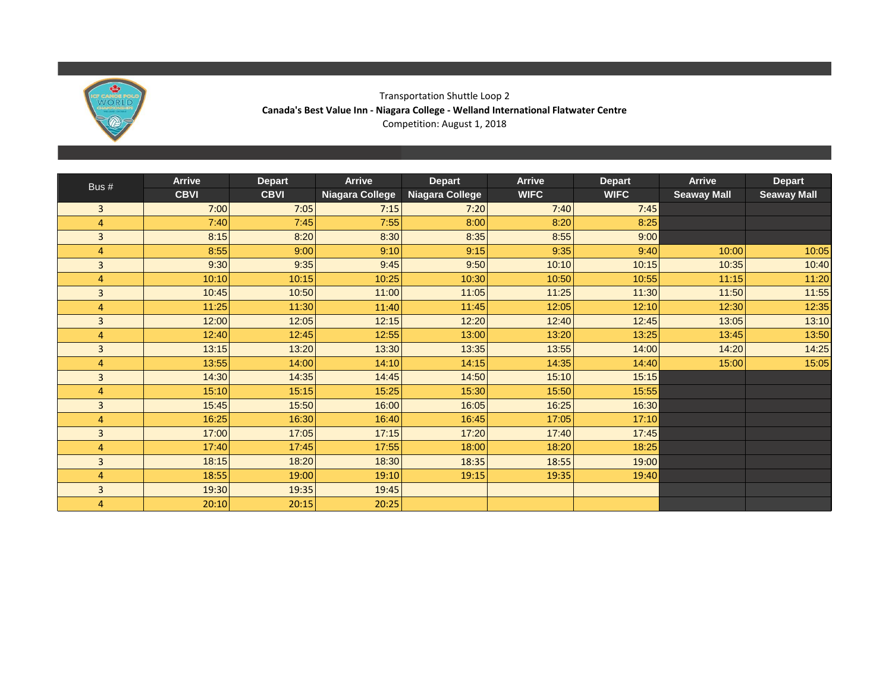

### Transportation Shuttle Loop 2 **Canada's Best Value Inn - Niagara College - Welland International Flatwater Centre** Competition: August 1, 2018

|                | <b>Arrive</b> | <b>Depart</b> | <b>Arrive</b>   | <b>Depart</b>   | <b>Arrive</b> | <b>Depart</b> | <b>Arrive</b>      | <b>Depart</b>      |
|----------------|---------------|---------------|-----------------|-----------------|---------------|---------------|--------------------|--------------------|
| Bus #          | <b>CBVI</b>   | <b>CBVI</b>   | Niagara College | Niagara College | <b>WIFC</b>   | <b>WIFC</b>   | <b>Seaway Mall</b> | <b>Seaway Mall</b> |
| 3              | 7:00          | 7:05          | 7:15            | 7:20            | 7:40          | 7:45          |                    |                    |
| 4              | 7:40          | 7:45          | 7:55            | 8:00            | 8:20          | 8:25          |                    |                    |
| $\overline{3}$ | 8:15          | 8:20          | 8:30            | 8:35            | 8:55          | 9:00          |                    |                    |
| 4              | 8:55          | 9:00          | 9:10            | 9:15            | 9:35          | 9:40          | 10:00              | 10:05              |
| $\overline{3}$ | 9:30          | 9:35          | 9:45            | 9:50            | 10:10         | 10:15         | 10:35              | 10:40              |
| $\overline{4}$ | 10:10         | 10:15         | 10:25           | 10:30           | 10:50         | 10:55         | 11:15              | 11:20              |
| $\overline{3}$ | 10:45         | 10:50         | 11:00           | 11:05           | 11:25         | 11:30         | 11:50              | 11:55              |
| 4              | 11:25         | 11:30         | 11:40           | 11:45           | 12:05         | 12:10         | 12:30              | 12:35              |
| 3              | 12:00         | 12:05         | 12:15           | 12:20           | 12:40         | 12:45         | 13:05              | 13:10              |
| 4              | 12:40         | 12:45         | 12:55           | 13:00           | 13:20         | 13:25         | 13:45              | 13:50              |
| 3              | 13:15         | 13:20         | 13:30           | 13:35           | 13:55         | 14:00         | 14:20              | 14:25              |
| 4              | 13:55         | 14:00         | 14:10           | 14:15           | 14:35         | 14:40         | 15:00              | 15:05              |
| 3              | 14:30         | 14:35         | 14:45           | 14:50           | 15:10         | 15:15         |                    |                    |
| 4              | 15:10         | 15:15         | 15:25           | 15:30           | 15:50         | 15:55         |                    |                    |
| 3              | 15:45         | 15:50         | 16:00           | 16:05           | 16:25         | 16:30         |                    |                    |
| 4              | 16:25         | 16:30         | 16:40           | 16:45           | 17:05         | 17:10         |                    |                    |
| 3              | 17:00         | 17:05         | 17:15           | 17:20           | 17:40         | 17:45         |                    |                    |
| 4              | 17:40         | 17:45         | 17:55           | 18:00           | 18:20         | 18:25         |                    |                    |
| 3              | 18:15         | 18:20         | 18:30           | 18:35           | 18:55         | 19:00         |                    |                    |
| 4              | 18:55         | 19:00         | 19:10           | 19:15           | 19:35         | 19:40         |                    |                    |
| 3              | 19:30         | 19:35         | 19:45           |                 |               |               |                    |                    |
| 4              | 20:10         | 20:15         | 20:25           |                 |               |               |                    |                    |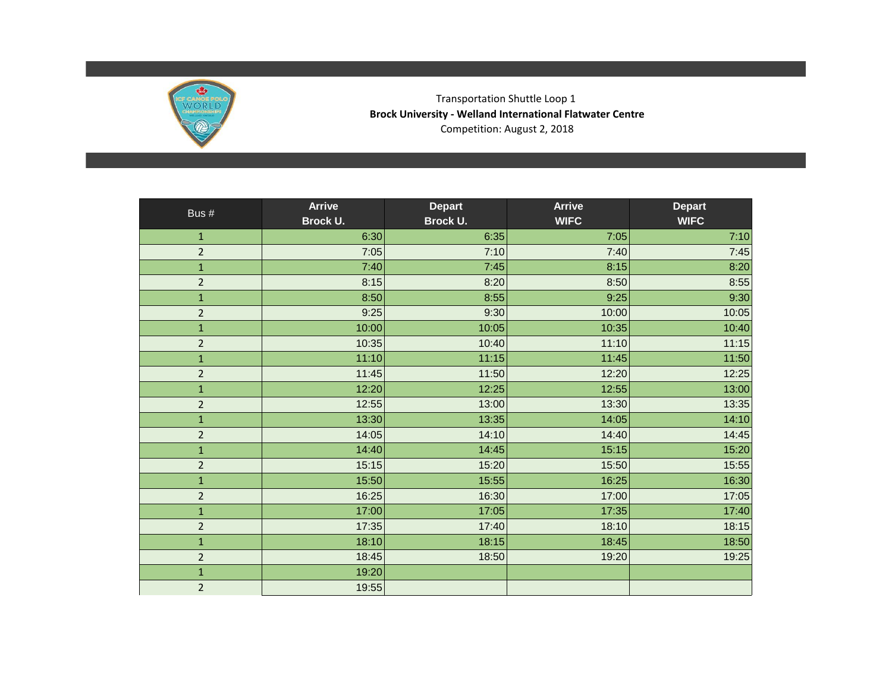

Transportation Shuttle Loop 1 **Brock University - Welland International Flatwater Centre** Competition: August 2, 2018

| Bus #          | <b>Arrive</b> | <b>Depart</b> | <b>Arrive</b> | <b>Depart</b> |
|----------------|---------------|---------------|---------------|---------------|
|                | Brock U.      | Brock U.      | <b>WIFC</b>   | <b>WIFC</b>   |
| $\mathbf{1}$   | 6:30          | 6:35          | 7:05          | 7:10          |
| $\overline{2}$ | 7:05          | 7:10          | 7:40          | 7:45          |
| $\mathbf 1$    | 7:40          | 7:45          | 8:15          | 8:20          |
| $\overline{2}$ | 8:15          | 8:20          | 8:50          | 8:55          |
| $\mathbf{1}$   | 8:50          | 8:55          | 9:25          | 9:30          |
| $\overline{2}$ | 9:25          | 9:30          | 10:00         | 10:05         |
| $\mathbf{1}$   | 10:00         | 10:05         | 10:35         | 10:40         |
| $\overline{2}$ | 10:35         | 10:40         | 11:10         | 11:15         |
| $\mathbf{1}$   | 11:10         | 11:15         | 11:45         | 11:50         |
| $\overline{2}$ | 11:45         | 11:50         | 12:20         | 12:25         |
| $\mathbf{1}$   | 12:20         | 12:25         | 12:55         | 13:00         |
| $\overline{2}$ | 12:55         | 13:00         | 13:30         | 13:35         |
| $\mathbf 1$    | 13:30         | 13:35         | 14:05         | 14:10         |
| $\overline{2}$ | 14:05         | 14:10         | 14:40         | 14:45         |
| $\mathbf{1}$   | 14:40         | 14:45         | 15:15         | 15:20         |
| $\overline{2}$ | 15:15         | 15:20         | 15:50         | 15:55         |
| $\mathbf{1}$   | 15:50         | 15:55         | 16:25         | 16:30         |
| $\overline{2}$ | 16:25         | 16:30         | 17:00         | 17:05         |
| $\mathbf{1}$   | 17:00         | 17:05         | 17:35         | 17:40         |
| $\overline{2}$ | 17:35         | 17:40         | 18:10         | 18:15         |
| $\mathbf{1}$   | 18:10         | 18:15         | 18:45         | 18:50         |
| $\overline{2}$ | 18:45         | 18:50         | 19:20         | 19:25         |
| $\mathbf 1$    | 19:20         |               |               |               |
| $\overline{2}$ | 19:55         |               |               |               |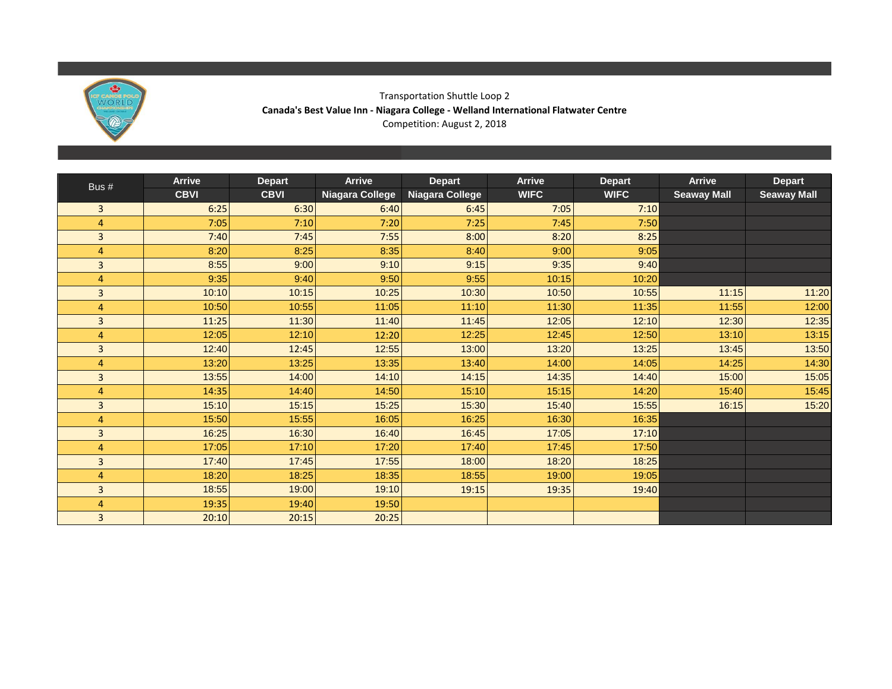

### Transportation Shuttle Loop 2 **Canada's Best Value Inn - Niagara College - Welland International Flatwater Centre** Competition: August 2, 2018

| Bus #          | <b>Arrive</b> | <b>Depart</b> | <b>Arrive</b>   | <b>Depart</b>   | <b>Arrive</b> | <b>Depart</b> | <b>Arrive</b>      | <b>Depart</b>      |
|----------------|---------------|---------------|-----------------|-----------------|---------------|---------------|--------------------|--------------------|
|                | <b>CBVI</b>   | <b>CBVI</b>   | Niagara College | Niagara College | <b>WIFC</b>   | <b>WIFC</b>   | <b>Seaway Mall</b> | <b>Seaway Mall</b> |
| 3              | 6:25          | 6:30          | 6:40            | 6:45            | 7:05          | 7:10          |                    |                    |
| $\overline{4}$ | 7:05          | 7:10          | 7:20            | 7:25            | 7:45          | 7:50          |                    |                    |
| $\overline{3}$ | 7:40          | 7:45          | 7:55            | 8:00            | 8:20          | 8:25          |                    |                    |
| $\overline{4}$ | 8:20          | 8:25          | 8:35            | 8:40            | 9:00          | 9:05          |                    |                    |
| 3              | 8:55          | 9:00          | 9:10            | 9:15            | 9:35          | 9:40          |                    |                    |
| 4              | 9:35          | 9:40          | 9:50            | 9:55            | 10:15         | 10:20         |                    |                    |
| $\overline{3}$ | 10:10         | 10:15         | 10:25           | 10:30           | 10:50         | 10:55         | 11:15              | 11:20              |
| 4              | 10:50         | 10:55         | 11:05           | 11:10           | 11:30         | 11:35         | 11:55              | 12:00              |
| 3              | 11:25         | 11:30         | 11:40           | 11:45           | 12:05         | 12:10         | 12:30              | 12:35              |
| $\overline{4}$ | 12:05         | 12:10         | 12:20           | 12:25           | 12:45         | 12:50         | 13:10              | 13:15              |
| 3              | 12:40         | 12:45         | 12:55           | 13:00           | 13:20         | 13:25         | 13:45              | 13:50              |
| $\overline{4}$ | 13:20         | 13:25         | 13:35           | 13:40           | 14:00         | 14:05         | 14:25              | 14:30              |
| 3              | 13:55         | 14:00         | 14:10           | 14:15           | 14:35         | 14:40         | 15:00              | 15:05              |
| 4              | 14:35         | 14:40         | 14:50           | 15:10           | 15:15         | 14:20         | 15:40              | 15:45              |
| $\overline{3}$ | 15:10         | 15:15         | 15:25           | 15:30           | 15:40         | 15:55         | 16:15              | 15:20              |
| 4              | 15:50         | 15:55         | 16:05           | 16:25           | 16:30         | 16:35         |                    |                    |
| 3              | 16:25         | 16:30         | 16:40           | 16:45           | 17:05         | 17:10         |                    |                    |
| $\overline{4}$ | 17:05         | 17:10         | 17:20           | 17:40           | 17:45         | 17:50         |                    |                    |
| 3              | 17:40         | 17:45         | 17:55           | 18:00           | 18:20         | 18:25         |                    |                    |
| 4              | 18:20         | 18:25         | 18:35           | 18:55           | 19:00         | 19:05         |                    |                    |
| 3              | 18:55         | 19:00         | 19:10           | 19:15           | 19:35         | 19:40         |                    |                    |
| 4              | 19:35         | 19:40         | 19:50           |                 |               |               |                    |                    |
| 3              | 20:10         | 20:15         | 20:25           |                 |               |               |                    |                    |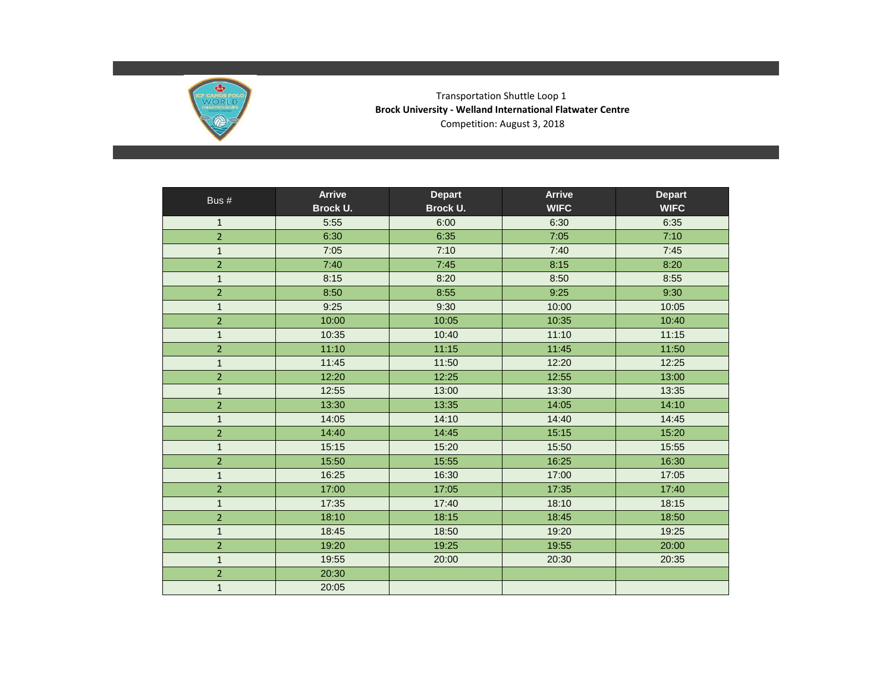

Transportation Shuttle Loop 1 **Brock University - Welland International Flatwater Centre** Competition: August 3, 2018

| Bus #                   | <b>Arrive</b> | <b>Depart</b> | <b>Arrive</b> | <b>Depart</b> |
|-------------------------|---------------|---------------|---------------|---------------|
|                         | Brock U.      | Brock U.      | <b>WIFC</b>   | <b>WIFC</b>   |
| $\mathbf{1}$            | 5:55          | 6:00          | 6:30          | 6:35          |
| $\overline{2}$          | 6:30          | 6:35          | 7:05          | 7:10          |
| $\mathbf{1}$            | 7:05          | 7:10          | 7:40          | 7:45          |
| $\overline{2}$          | 7:40          | 7:45          | 8:15          | 8:20          |
| $\mathbf{1}$            | 8:15          | 8:20          | 8:50          | 8:55          |
| $\overline{2}$          | 8:50          | 8:55          | 9:25          | 9:30          |
| $\mathbf{1}$            | 9:25          | 9:30          | 10:00         | 10:05         |
| $\overline{2}$          | 10:00         | 10:05         | 10:35         | 10:40         |
| $\mathbf{1}$            | 10:35         | 10:40         | 11:10         | 11:15         |
| $\overline{a}$          | 11:10         | 11:15         | 11:45         | 11:50         |
| $\mathbf{1}$            | 11:45         | 11:50         | 12:20         | 12:25         |
| $\overline{a}$          | 12:20         | 12:25         | 12:55         | 13:00         |
| $\mathbf 1$             | 12:55         | 13:00         | 13:30         | 13:35         |
| $\overline{2}$          | 13:30         | 13:35         | 14:05         | 14:10         |
| $\mathbf{1}$            | 14:05         | 14:10         | 14:40         | 14:45         |
| $\overline{2}$          | 14:40         | 14:45         | 15:15         | 15:20         |
| $\mathbf{1}$            | 15:15         | 15:20         | 15:50         | 15:55         |
| $\overline{2}$          | 15:50         | 15:55         | 16:25         | 16:30         |
| $\mathbf{1}$            | 16:25         | 16:30         | 17:00         | 17:05         |
| $\overline{2}$          | 17:00         | 17:05         | 17:35         | 17:40         |
| $\mathbf{1}$            | 17:35         | 17:40         | 18:10         | 18:15         |
| $\overline{2}$          | 18:10         | 18:15         | 18:45         | 18:50         |
| $\mathbf{1}$            | 18:45         | 18:50         | 19:20         | 19:25         |
| $\overline{\mathbf{c}}$ | 19:20         | 19:25         | 19:55         | 20:00         |
| $\mathbf{1}$            | 19:55         | 20:00         | 20:30         | 20:35         |
| $\overline{\mathbf{c}}$ | 20:30         |               |               |               |
| $\mathbf{1}$            | 20:05         |               |               |               |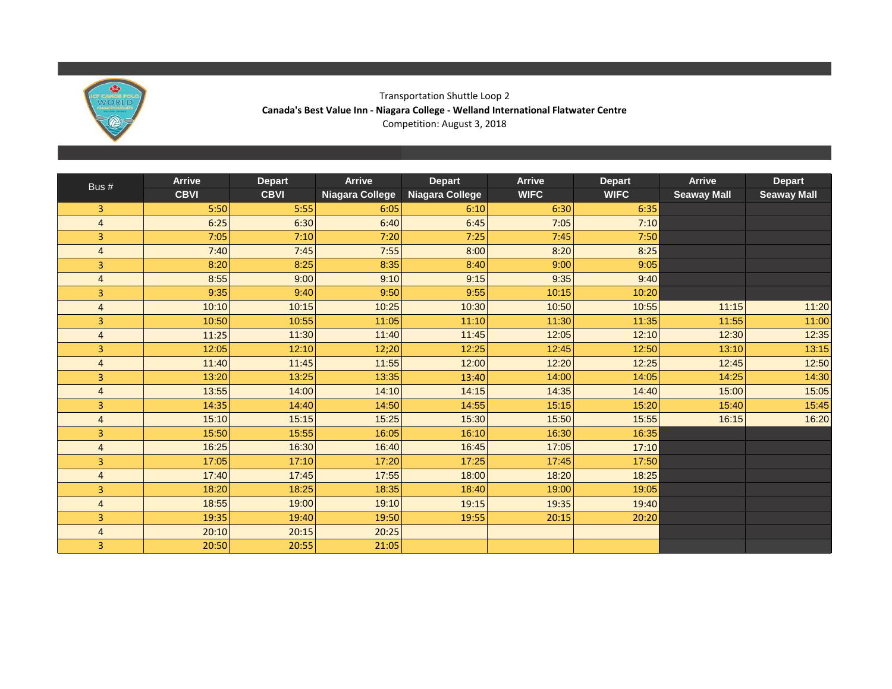

### Transportation Shuttle Loop 2 **Canada's Best Value Inn - Niagara College - Welland International Flatwater Centre** Competition: August 3, 2018

| Bus #          | <b>Arrive</b> | <b>Depart</b> | <b>Arrive</b>   | <b>Depart</b>   | <b>Arrive</b> | <b>Depart</b> | <b>Arrive</b>      | <b>Depart</b>      |
|----------------|---------------|---------------|-----------------|-----------------|---------------|---------------|--------------------|--------------------|
|                | <b>CBVI</b>   | <b>CBVI</b>   | Niagara College | Niagara College | <b>WIFC</b>   | <b>WIFC</b>   | <b>Seaway Mall</b> | <b>Seaway Mall</b> |
| $\overline{3}$ | 5:50          | 5:55          | 6:05            | 6:10            | 6:30          | 6:35          |                    |                    |
| $\overline{4}$ | 6:25          | 6:30          | 6:40            | 6:45            | 7:05          | 7:10          |                    |                    |
| $\overline{3}$ | 7:05          | 7:10          | 7:20            | 7:25            | 7:45          | 7:50          |                    |                    |
| $\overline{4}$ | 7:40          | 7:45          | 7:55            | 8:00            | 8:20          | 8:25          |                    |                    |
| 3              | 8:20          | 8:25          | 8:35            | 8:40            | 9:00          | 9:05          |                    |                    |
| $\overline{4}$ | 8:55          | 9:00          | 9:10            | 9:15            | 9:35          | 9:40          |                    |                    |
| 3              | 9:35          | 9:40          | 9:50            | 9:55            | 10:15         | 10:20         |                    |                    |
| $\overline{4}$ | 10:10         | 10:15         | 10:25           | 10:30           | 10:50         | 10:55         | 11:15              | 11:20              |
| $\overline{3}$ | 10:50         | 10:55         | 11:05           | 11:10           | 11:30         | 11:35         | 11:55              | 11:00              |
| $\overline{4}$ | 11:25         | 11:30         | 11:40           | 11:45           | 12:05         | 12:10         | 12:30              | 12:35              |
| 3              | 12:05         | 12:10         | 12;20           | 12:25           | 12:45         | 12:50         | 13:10              | 13:15              |
| $\overline{4}$ | 11:40         | 11:45         | 11:55           | 12:00           | 12:20         | 12:25         | 12:45              | 12:50              |
| 3              | 13:20         | 13:25         | 13:35           | 13:40           | 14:00         | 14:05         | 14:25              | 14:30              |
| $\overline{4}$ | 13:55         | 14:00         | 14:10           | 14:15           | 14:35         | 14:40         | 15:00              | 15:05              |
| $\overline{3}$ | 14:35         | 14:40         | 14:50           | 14:55           | 15:15         | 15:20         | 15:40              | 15:45              |
| $\overline{4}$ | 15:10         | 15:15         | 15:25           | 15:30           | 15:50         | 15:55         | 16:15              | 16:20              |
| 3              | 15:50         | 15:55         | 16:05           | 16:10           | 16:30         | 16:35         |                    |                    |
| $\overline{4}$ | 16:25         | 16:30         | 16:40           | 16:45           | 17:05         | 17:10         |                    |                    |
| $\overline{3}$ | 17:05         | 17:10         | 17:20           | 17:25           | 17:45         | 17:50         |                    |                    |
| $\overline{4}$ | 17:40         | 17:45         | 17:55           | 18:00           | 18:20         | 18:25         |                    |                    |
| 3              | 18:20         | 18:25         | 18:35           | 18:40           | 19:00         | 19:05         |                    |                    |
| $\overline{4}$ | 18:55         | 19:00         | 19:10           | 19:15           | 19:35         | 19:40         |                    |                    |
| 3              | 19:35         | 19:40         | 19:50           | 19:55           | 20:15         | 20:20         |                    |                    |
| $\overline{4}$ | 20:10         | 20:15         | 20:25           |                 |               |               |                    |                    |
| 3              | 20:50         | 20:55         | 21:05           |                 |               |               |                    |                    |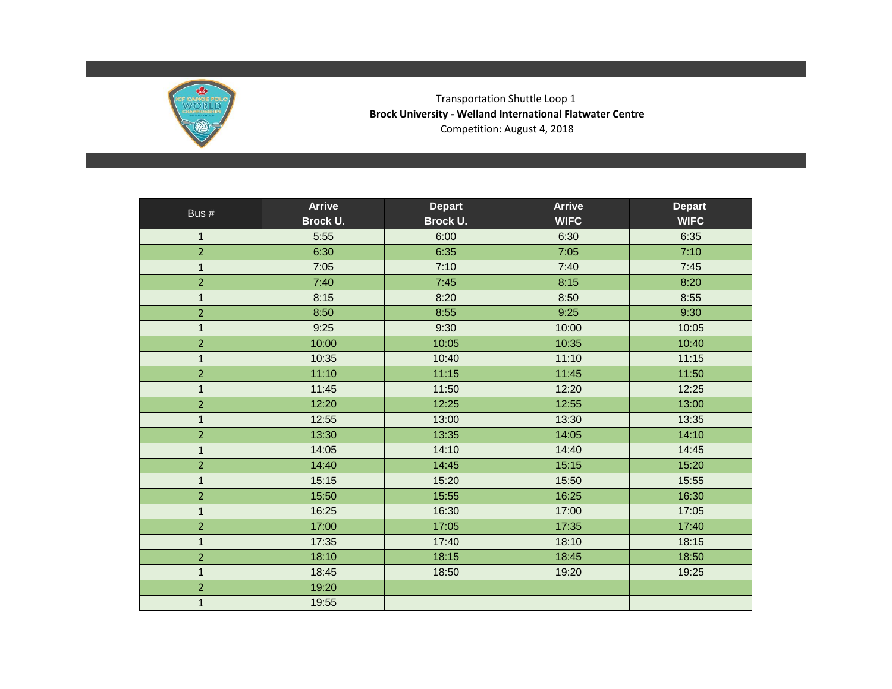

Transportation Shuttle Loop 1 **Brock University - Welland International Flatwater Centre** Competition: August 4, 2018

| Bus #          | <b>Arrive</b> | <b>Depart</b>   | <b>Arrive</b> | <b>Depart</b> |
|----------------|---------------|-----------------|---------------|---------------|
|                | Brock U.      | <b>Brock U.</b> | <b>WIFC</b>   | <b>WIFC</b>   |
| $\mathbf{1}$   | 5:55          | 6:00            | 6:30          | 6:35          |
| $\overline{2}$ | 6:30          | 6:35            | 7:05          | 7:10          |
| $\mathbf{1}$   | 7:05          | 7:10            | 7:40          | 7:45          |
| $\overline{2}$ | 7:40          | 7:45            | 8:15          | 8:20          |
| $\mathbf{1}$   | 8:15          | 8:20            | 8:50          | 8:55          |
| $\overline{2}$ | 8:50          | 8:55            | 9:25          | 9:30          |
| $\mathbf 1$    | 9:25          | 9:30            | 10:00         | 10:05         |
| $\overline{2}$ | 10:00         | 10:05           | 10:35         | 10:40         |
| $\mathbf{1}$   | 10:35         | 10:40           | 11:10         | 11:15         |
| $\overline{2}$ | 11:10         | 11:15           | 11:45         | 11:50         |
| $\mathbf{1}$   | 11:45         | 11:50           | 12:20         | 12:25         |
| $\overline{2}$ | 12:20         | 12:25           | 12:55         | 13:00         |
| $\mathbf{1}$   | 12:55         | 13:00           | 13:30         | 13:35         |
| $\overline{2}$ | 13:30         | 13:35           | 14:05         | 14:10         |
| $\mathbf{1}$   | 14:05         | 14:10           | 14:40         | 14:45         |
| $\overline{2}$ | 14:40         | 14:45           | 15:15         | 15:20         |
| $\mathbf{1}$   | 15:15         | 15:20           | 15:50         | 15:55         |
| $\overline{2}$ | 15:50         | 15:55           | 16:25         | 16:30         |
| $\mathbf{1}$   | 16:25         | 16:30           | 17:00         | 17:05         |
| $\overline{2}$ | 17:00         | 17:05           | 17:35         | 17:40         |
| $\mathbf{1}$   | 17:35         | 17:40           | 18:10         | 18:15         |
| $\overline{2}$ | 18:10         | 18:15           | 18:45         | 18:50         |
| $\mathbf 1$    | 18:45         | 18:50           | 19:20         | 19:25         |
| $\overline{2}$ | 19:20         |                 |               |               |
| $\mathbf{1}$   | 19:55         |                 |               |               |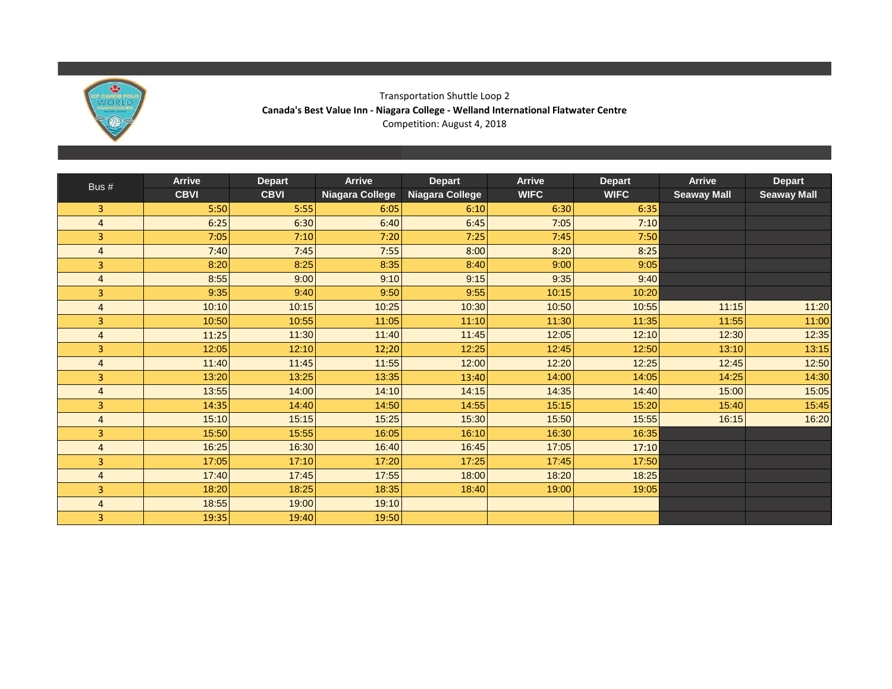

### Transportation Shuttle Loop 2 **Canada's Best Value Inn - Niagara College - Welland International Flatwater Centre** Competition: August 4, 2018

| Bus #                   | <b>Arrive</b> | <b>Depart</b> | <b>Arrive</b>   | <b>Depart</b>   | <b>Arrive</b> | <b>Depart</b> | <b>Arrive</b>      | <b>Depart</b>      |
|-------------------------|---------------|---------------|-----------------|-----------------|---------------|---------------|--------------------|--------------------|
|                         | <b>CBVI</b>   | <b>CBVI</b>   | Niagara College | Niagara College | <b>WIFC</b>   | <b>WIFC</b>   | <b>Seaway Mall</b> | <b>Seaway Mall</b> |
| 3                       | 5:50          | 5:55          | 6:05            | 6:10            | 6:30          | 6:35          |                    |                    |
| $\overline{4}$          | 6:25          | 6:30          | 6:40            | 6:45            | 7:05          | 7:10          |                    |                    |
| 3                       | 7:05          | 7:10          | 7:20            | 7:25            | 7:45          | 7:50          |                    |                    |
| $\overline{4}$          | 7:40          | 7:45          | 7:55            | 8:00            | 8:20          | 8:25          |                    |                    |
| 3                       | 8:20          | 8:25          | 8:35            | 8:40            | 9:00          | 9:05          |                    |                    |
| $\overline{4}$          | 8:55          | 9:00          | 9:10            | 9:15            | 9:35          | 9:40          |                    |                    |
| 3                       | 9:35          | 9:40          | 9:50            | 9:55            | 10:15         | 10:20         |                    |                    |
| $\overline{4}$          | 10:10         | 10:15         | 10:25           | 10:30           | 10:50         | 10:55         | 11:15              | 11:20              |
| 3                       | 10:50         | 10:55         | 11:05           | 11:10           | 11:30         | 11:35         | 11:55              | 11:00              |
| $\overline{4}$          | 11:25         | 11:30         | 11:40           | 11:45           | 12:05         | 12:10         | 12:30              | 12:35              |
| 3                       | 12:05         | 12:10         | 12;20           | 12:25           | 12:45         | 12:50         | 13:10              | 13:15              |
| $\overline{4}$          | 11:40         | 11:45         | 11:55           | 12:00           | 12:20         | 12:25         | 12:45              | 12:50              |
| 3                       | 13:20         | 13:25         | 13:35           | 13:40           | 14:00         | 14:05         | 14:25              | 14:30              |
| $\overline{4}$          | 13:55         | 14:00         | 14:10           | 14:15           | 14:35         | 14:40         | 15:00              | 15:05              |
| $\overline{\mathbf{3}}$ | 14:35         | 14:40         | 14:50           | 14:55           | 15:15         | 15:20         | 15:40              | 15:45              |
| $\overline{4}$          | 15:10         | 15:15         | 15:25           | 15:30           | 15:50         | 15:55         | 16:15              | 16:20              |
| 3                       | 15:50         | 15:55         | 16:05           | 16:10           | 16:30         | 16:35         |                    |                    |
| $\overline{4}$          | 16:25         | 16:30         | 16:40           | 16:45           | 17:05         | 17:10         |                    |                    |
| 3                       | 17:05         | 17:10         | 17:20           | 17:25           | 17:45         | 17:50         |                    |                    |
| $\overline{4}$          | 17:40         | 17:45         | 17:55           | 18:00           | 18:20         | 18:25         |                    |                    |
| 3                       | 18:20         | 18:25         | 18:35           | 18:40           | 19:00         | 19:05         |                    |                    |
| $\overline{4}$          | 18:55         | 19:00         | 19:10           |                 |               |               |                    |                    |
| 3                       | 19:35         | 19:40         | 19:50           |                 |               |               |                    |                    |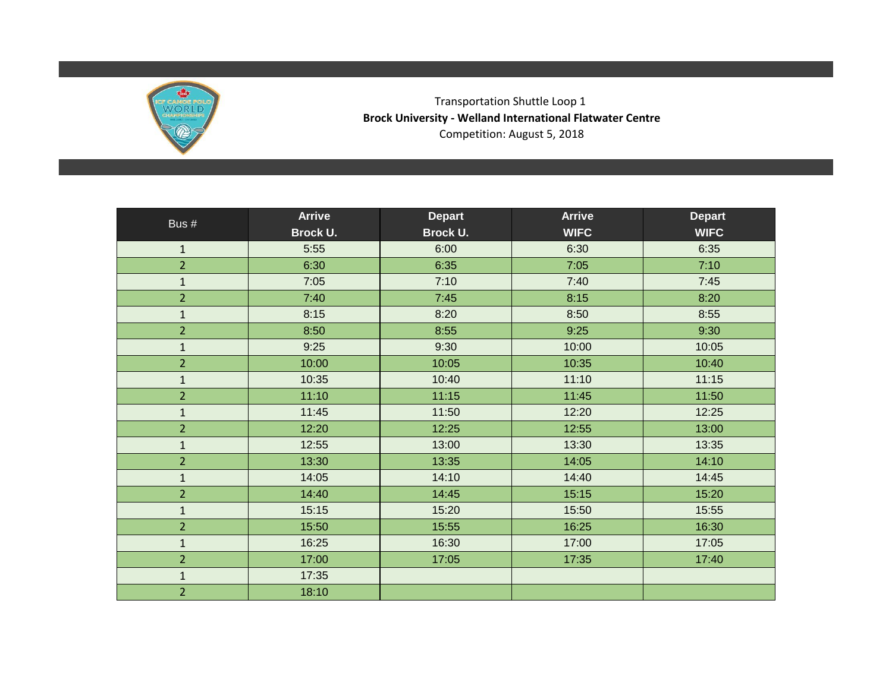

Transportation Shuttle Loop 1 **Brock University - Welland International Flatwater Centre** Competition: August 5, 2018

| Bus #          | <b>Arrive</b> | <b>Depart</b> | <b>Arrive</b> | <b>Depart</b> |
|----------------|---------------|---------------|---------------|---------------|
|                | Brock U.      | Brock U.      | <b>WIFC</b>   | <b>WIFC</b>   |
| $\mathbf{1}$   | 5:55          | 6:00          | 6:30          | 6:35          |
| $\overline{2}$ | 6:30          | 6:35          | 7:05          | 7:10          |
| $\mathbf{1}$   | 7:05          | 7:10          | 7:40          | 7:45          |
| $\overline{2}$ | 7:40          | 7:45          | 8:15          | 8:20          |
| $\mathbf{1}$   | 8:15          | 8:20          | 8:50          | 8:55          |
| $\overline{2}$ | 8:50          | 8:55          | 9:25          | 9:30          |
| $\mathbf{1}$   | 9:25          | 9:30          | 10:00         | 10:05         |
| $\overline{2}$ | 10:00         | 10:05         | 10:35         | 10:40         |
| $\mathbf{1}$   | 10:35         | 10:40         | 11:10         | 11:15         |
| $\overline{2}$ | 11:10         | 11:15         | 11:45         | 11:50         |
| $\mathbf{1}$   | 11:45         | 11:50         | 12:20         | 12:25         |
| $\overline{2}$ | 12:20         | 12:25         | 12:55         | 13:00         |
| $\mathbf{1}$   | 12:55         | 13:00         | 13:30         | 13:35         |
| $\overline{2}$ | 13:30         | 13:35         | 14:05         | 14:10         |
| $\mathbf{1}$   | 14:05         | 14:10         | 14:40         | 14:45         |
| $\overline{2}$ | 14:40         | 14:45         | 15:15         | 15:20         |
| $\mathbf{1}$   | 15:15         | 15:20         | 15:50         | 15:55         |
| $\overline{2}$ | 15:50         | 15:55         | 16:25         | 16:30         |
| $\mathbf{1}$   | 16:25         | 16:30         | 17:00         | 17:05         |
| $\overline{2}$ | 17:00         | 17:05         | 17:35         | 17:40         |
| $\mathbf{1}$   | 17:35         |               |               |               |
| $\overline{2}$ | 18:10         |               |               |               |